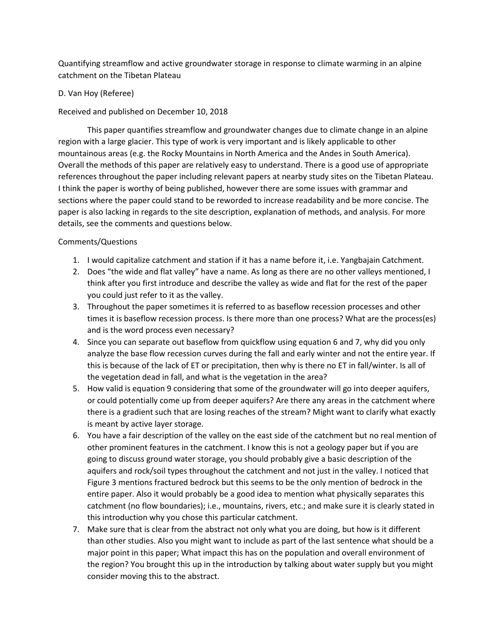Quantifying streamflow and active groundwater storage in response to climate warming in an alpine catchment on the Tibetan Plateau

## D. Van Hoy (Referee)

Received and published on December 10, 2018

This paper quantifies streamflow and groundwater changes due to climate change in an alpine region with a large glacier. This type of work is very important and is likely applicable to other mountainous areas (e.g. the Rocky Mountains in North America and the Andes in South America). Overall the methods of this paper are relatively easy to understand. There is a good use of appropriate references throughout the paper including relevant papers at nearby study sites on the Tibetan Plateau. I think the paper is worthy of being published, however there are some issues with grammar and sections where the paper could stand to be reworded to increase readability and be more concise. The paper is also lacking in regards to the site description, explanation of methods, and analysis. For more details, see the comments and questions below.

## Comments/Questions

- 1. I would capitalize catchment and station if it has a name before it, i.e. Yangbajain Catchment.
- 2. Does "the wide and flat valley" have a name. As long as there are no other valleys mentioned, I think after you first introduce and describe the valley as wide and flat for the rest of the paper you could just refer to it as the valley.
- 3. Throughout the paper sometimes it is referred to as baseflow recession processes and other times it is baseflow recession process. Is there more than one process? What are the process(es) and is the word process even necessary?
- 4. Since you can separate out baseflow from quickflow using equation 6 and 7, why did you only analyze the base flow recession curves during the fall and early winter and not the entire year. If this is because of the lack of ET or precipitation, then why is there no ET in fall/winter. Is all of the vegetation dead in fall, and what is the vegetation in the area?
- 5. How valid is equation 9 considering that some of the groundwater will go into deeper aquifers, or could potentially come up from deeper aquifers? Are there any areas in the catchment where there is a gradient such that are losing reaches of the stream? Might want to clarify what exactly is meant by active layer storage.
- 6. You have a fair description of the valley on the east side of the catchment but no real mention of other prominent features in the catchment. I know this is not a geology paper but if you are going to discuss ground water storage, you should probably give a basic description of the aquifers and rock/soil types throughout the catchment and not just in the valley. I noticed that Figure 3 mentions fractured bedrock but this seems to be the only mention of bedrock in the entire paper. Also it would probably be a good idea to mention what physically separates this catchment (no flow boundaries); i.e., mountains, rivers, etc.; and make sure it is clearly stated in this introduction why you chose this particular catchment.
- 7. Make sure that is clear from the abstract not only what you are doing, but how is it different than other studies. Also you might want to include as part of the last sentence what should be a major point in this paper; What impact this has on the population and overall environment of the region? You brought this up in the introduction by talking about water supply but you might consider moving this to the abstract.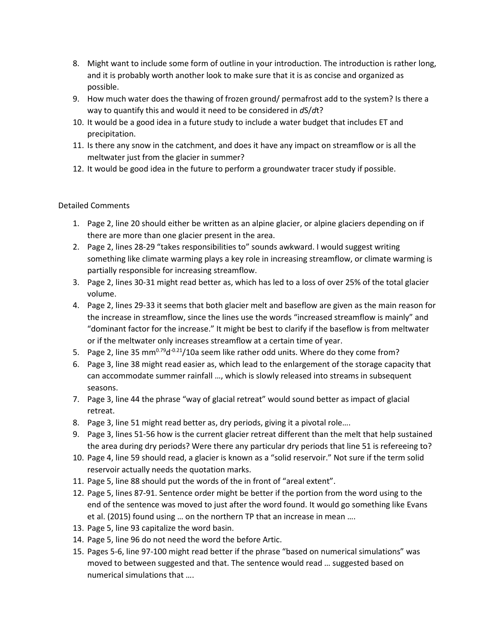- 8. Might want to include some form of outline in your introduction. The introduction is rather long, and it is probably worth another look to make sure that it is as concise and organized as possible.
- 9. How much water does the thawing of frozen ground/ permafrost add to the system? Is there a way to quantify this and would it need to be considered in *d*S/*d*t?
- 10. It would be a good idea in a future study to include a water budget that includes ET and precipitation.
- 11. Is there any snow in the catchment, and does it have any impact on streamflow or is all the meltwater just from the glacier in summer?
- 12. It would be good idea in the future to perform a groundwater tracer study if possible.

## Detailed Comments

- 1. Page 2, line 20 should either be written as an alpine glacier, or alpine glaciers depending on if there are more than one glacier present in the area.
- 2. Page 2, lines 28-29 "takes responsibilities to" sounds awkward. I would suggest writing something like climate warming plays a key role in increasing streamflow, or climate warming is partially responsible for increasing streamflow.
- 3. Page 2, lines 30-31 might read better as, which has led to a loss of over 25% of the total glacier volume.
- 4. Page 2, lines 29-33 it seems that both glacier melt and baseflow are given as the main reason for the increase in streamflow, since the lines use the words "increased streamflow is mainly" and "dominant factor for the increase." It might be best to clarify if the baseflow is from meltwater or if the meltwater only increases streamflow at a certain time of year.
- 5. Page 2, line 35 mm<sup>0.79</sup>d<sup>-0.21</sup>/10a seem like rather odd units. Where do they come from?
- 6. Page 3, line 38 might read easier as, which lead to the enlargement of the storage capacity that can accommodate summer rainfall …, which is slowly released into streams in subsequent seasons.
- 7. Page 3, line 44 the phrase "way of glacial retreat" would sound better as impact of glacial retreat.
- 8. Page 3, line 51 might read better as, dry periods, giving it a pivotal role….
- 9. Page 3, lines 51-56 how is the current glacier retreat different than the melt that help sustained the area during dry periods? Were there any particular dry periods that line 51 is refereeing to?
- 10. Page 4, line 59 should read, a glacier is known as a "solid reservoir." Not sure if the term solid reservoir actually needs the quotation marks.
- 11. Page 5, line 88 should put the words of the in front of "areal extent".
- 12. Page 5, lines 87-91. Sentence order might be better if the portion from the word using to the end of the sentence was moved to just after the word found. It would go something like Evans et al. (2015) found using … on the northern TP that an increase in mean ….
- 13. Page 5, line 93 capitalize the word basin.
- 14. Page 5, line 96 do not need the word the before Artic.
- 15. Pages 5-6, line 97-100 might read better if the phrase "based on numerical simulations" was moved to between suggested and that. The sentence would read … suggested based on numerical simulations that ….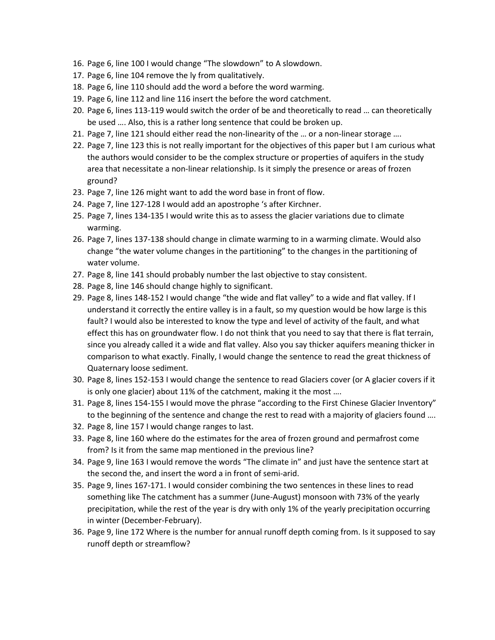- 16. Page 6, line 100 I would change "The slowdown" to A slowdown.
- 17. Page 6, line 104 remove the ly from qualitatively.
- 18. Page 6, line 110 should add the word a before the word warming.
- 19. Page 6, line 112 and line 116 insert the before the word catchment.
- 20. Page 6, lines 113-119 would switch the order of be and theoretically to read … can theoretically be used …. Also, this is a rather long sentence that could be broken up.
- 21. Page 7, line 121 should either read the non-linearity of the … or a non-linear storage ….
- 22. Page 7, line 123 this is not really important for the objectives of this paper but I am curious what the authors would consider to be the complex structure or properties of aquifers in the study area that necessitate a non-linear relationship. Is it simply the presence or areas of frozen ground?
- 23. Page 7, line 126 might want to add the word base in front of flow.
- 24. Page 7, line 127-128 I would add an apostrophe 's after Kirchner.
- 25. Page 7, lines 134-135 I would write this as to assess the glacier variations due to climate warming.
- 26. Page 7, lines 137-138 should change in climate warming to in a warming climate. Would also change "the water volume changes in the partitioning" to the changes in the partitioning of water volume.
- 27. Page 8, line 141 should probably number the last objective to stay consistent.
- 28. Page 8, line 146 should change highly to significant.
- 29. Page 8, lines 148-152 I would change "the wide and flat valley" to a wide and flat valley. If I understand it correctly the entire valley is in a fault, so my question would be how large is this fault? I would also be interested to know the type and level of activity of the fault, and what effect this has on groundwater flow. I do not think that you need to say that there is flat terrain, since you already called it a wide and flat valley. Also you say thicker aquifers meaning thicker in comparison to what exactly. Finally, I would change the sentence to read the great thickness of Quaternary loose sediment.
- 30. Page 8, lines 152-153 I would change the sentence to read Glaciers cover (or A glacier covers if it is only one glacier) about 11% of the catchment, making it the most ….
- 31. Page 8, lines 154-155 I would move the phrase "according to the First Chinese Glacier Inventory" to the beginning of the sentence and change the rest to read with a majority of glaciers found ….
- 32. Page 8, line 157 I would change ranges to last.
- 33. Page 8, line 160 where do the estimates for the area of frozen ground and permafrost come from? Is it from the same map mentioned in the previous line?
- 34. Page 9, line 163 I would remove the words "The climate in" and just have the sentence start at the second the, and insert the word a in front of semi-arid.
- 35. Page 9, lines 167-171. I would consider combining the two sentences in these lines to read something like The catchment has a summer (June-August) monsoon with 73% of the yearly precipitation, while the rest of the year is dry with only 1% of the yearly precipitation occurring in winter (December-February).
- 36. Page 9, line 172 Where is the number for annual runoff depth coming from. Is it supposed to say runoff depth or streamflow?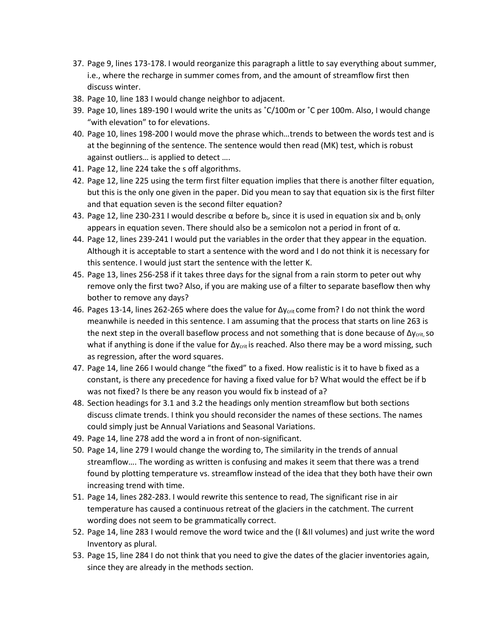- 37. Page 9, lines 173-178. I would reorganize this paragraph a little to say everything about summer, i.e., where the recharge in summer comes from, and the amount of streamflow first then discuss winter.
- 38. Page 10, line 183 I would change neighbor to adjacent.
- 39. Page 10, lines 189-190 I would write the units as ˚C/100m or ˚C per 100m. Also, I would change "with elevation" to for elevations.
- 40. Page 10, lines 198-200 I would move the phrase which…trends to between the words test and is at the beginning of the sentence. The sentence would then read (MK) test, which is robust against outliers… is applied to detect ….
- 41. Page 12, line 224 take the s off algorithms.
- 42. Page 12, line 225 using the term first filter equation implies that there is another filter equation, but this is the only one given in the paper. Did you mean to say that equation six is the first filter and that equation seven is the second filter equation?
- 43. Page 12, line 230-231 I would describe α before  $b_t$ , since it is used in equation six and  $b_t$  only appears in equation seven. There should also be a semicolon not a period in front of α.
- 44. Page 12, lines 239-241 I would put the variables in the order that they appear in the equation. Although it is acceptable to start a sentence with the word and I do not think it is necessary for this sentence. I would just start the sentence with the letter K.
- 45. Page 13, lines 256-258 if it takes three days for the signal from a rain storm to peter out why remove only the first two? Also, if you are making use of a filter to separate baseflow then why bother to remove any days?
- 46. Pages 13-14, lines 262-265 where does the value for  $\Delta y_{\text{crit}}$  come from? I do not think the word meanwhile is needed in this sentence. I am assuming that the process that starts on line 263 is the next step in the overall baseflow process and not something that is done because of  $\Delta y_{\text{crit}}$  so what if anything is done if the value for Δy<sub>crit</sub> is reached. Also there may be a word missing, such as regression, after the word squares.
- 47. Page 14, line 266 I would change "the fixed" to a fixed. How realistic is it to have b fixed as a constant, is there any precedence for having a fixed value for b? What would the effect be if b was not fixed? Is there be any reason you would fix b instead of a?
- 48. Section headings for 3.1 and 3.2 the headings only mention streamflow but both sections discuss climate trends. I think you should reconsider the names of these sections. The names could simply just be Annual Variations and Seasonal Variations.
- 49. Page 14, line 278 add the word a in front of non-significant.
- 50. Page 14, line 279 I would change the wording to, The similarity in the trends of annual streamflow…. The wording as written is confusing and makes it seem that there was a trend found by plotting temperature vs. streamflow instead of the idea that they both have their own increasing trend with time.
- 51. Page 14, lines 282-283. I would rewrite this sentence to read, The significant rise in air temperature has caused a continuous retreat of the glaciers in the catchment. The current wording does not seem to be grammatically correct.
- 52. Page 14, line 283 I would remove the word twice and the (I &II volumes) and just write the word Inventory as plural.
- 53. Page 15, line 284 I do not think that you need to give the dates of the glacier inventories again, since they are already in the methods section.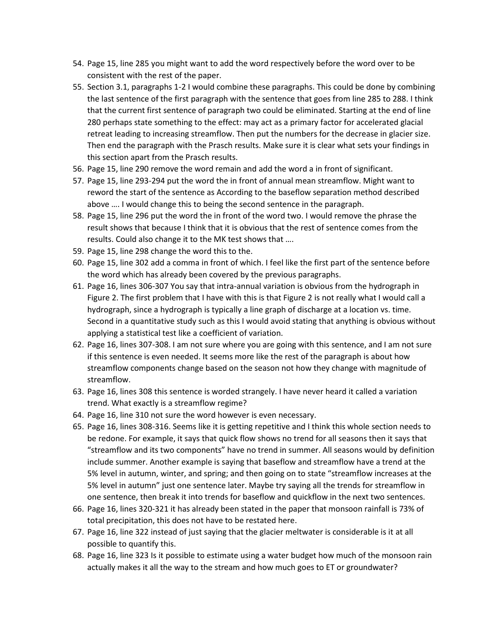- 54. Page 15, line 285 you might want to add the word respectively before the word over to be consistent with the rest of the paper.
- 55. Section 3.1, paragraphs 1-2 I would combine these paragraphs. This could be done by combining the last sentence of the first paragraph with the sentence that goes from line 285 to 288. I think that the current first sentence of paragraph two could be eliminated. Starting at the end of line 280 perhaps state something to the effect: may act as a primary factor for accelerated glacial retreat leading to increasing streamflow. Then put the numbers for the decrease in glacier size. Then end the paragraph with the Prasch results. Make sure it is clear what sets your findings in this section apart from the Prasch results.
- 56. Page 15, line 290 remove the word remain and add the word a in front of significant.
- 57. Page 15, line 293-294 put the word the in front of annual mean streamflow. Might want to reword the start of the sentence as According to the baseflow separation method described above …. I would change this to being the second sentence in the paragraph.
- 58. Page 15, line 296 put the word the in front of the word two. I would remove the phrase the result shows that because I think that it is obvious that the rest of sentence comes from the results. Could also change it to the MK test shows that ….
- 59. Page 15, line 298 change the word this to the.
- 60. Page 15, line 302 add a comma in front of which. I feel like the first part of the sentence before the word which has already been covered by the previous paragraphs.
- 61. Page 16, lines 306-307 You say that intra-annual variation is obvious from the hydrograph in Figure 2. The first problem that I have with this is that Figure 2 is not really what I would call a hydrograph, since a hydrograph is typically a line graph of discharge at a location vs. time. Second in a quantitative study such as this I would avoid stating that anything is obvious without applying a statistical test like a coefficient of variation.
- 62. Page 16, lines 307-308. I am not sure where you are going with this sentence, and I am not sure if this sentence is even needed. It seems more like the rest of the paragraph is about how streamflow components change based on the season not how they change with magnitude of streamflow.
- 63. Page 16, lines 308 this sentence is worded strangely. I have never heard it called a variation trend. What exactly is a streamflow regime?
- 64. Page 16, line 310 not sure the word however is even necessary.
- 65. Page 16, lines 308-316. Seems like it is getting repetitive and I think this whole section needs to be redone. For example, it says that quick flow shows no trend for all seasons then it says that "streamflow and its two components" have no trend in summer. All seasons would by definition include summer. Another example is saying that baseflow and streamflow have a trend at the 5% level in autumn, winter, and spring; and then going on to state "streamflow increases at the 5% level in autumn" just one sentence later. Maybe try saying all the trends for streamflow in one sentence, then break it into trends for baseflow and quickflow in the next two sentences.
- 66. Page 16, lines 320-321 it has already been stated in the paper that monsoon rainfall is 73% of total precipitation, this does not have to be restated here.
- 67. Page 16, line 322 instead of just saying that the glacier meltwater is considerable is it at all possible to quantify this.
- 68. Page 16, line 323 Is it possible to estimate using a water budget how much of the monsoon rain actually makes it all the way to the stream and how much goes to ET or groundwater?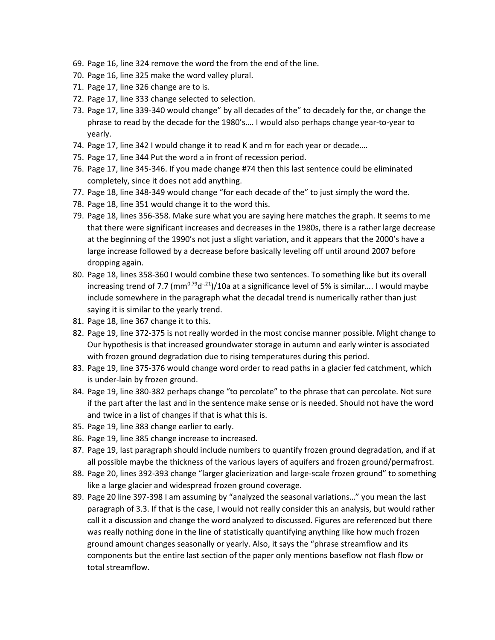- 69. Page 16, line 324 remove the word the from the end of the line.
- 70. Page 16, line 325 make the word valley plural.
- 71. Page 17, line 326 change are to is.
- 72. Page 17, line 333 change selected to selection.
- 73. Page 17, line 339-340 would change" by all decades of the" to decadely for the, or change the phrase to read by the decade for the 1980's…. I would also perhaps change year-to-year to yearly.
- 74. Page 17, line 342 I would change it to read K and m for each year or decade….
- 75. Page 17, line 344 Put the word a in front of recession period.
- 76. Page 17, line 345-346. If you made change #74 then this last sentence could be eliminated completely, since it does not add anything.
- 77. Page 18, line 348-349 would change "for each decade of the" to just simply the word the.
- 78. Page 18, line 351 would change it to the word this.
- 79. Page 18, lines 356-358. Make sure what you are saying here matches the graph. It seems to me that there were significant increases and decreases in the 1980s, there is a rather large decrease at the beginning of the 1990's not just a slight variation, and it appears that the 2000's have a large increase followed by a decrease before basically leveling off until around 2007 before dropping again.
- 80. Page 18, lines 358-360 I would combine these two sentences. To something like but its overall increasing trend of 7.7 (mm<sup>0.79</sup>d<sup>-21</sup>)/10a at a significance level of 5% is similar.... I would maybe include somewhere in the paragraph what the decadal trend is numerically rather than just saying it is similar to the yearly trend.
- 81. Page 18, line 367 change it to this.
- 82. Page 19, line 372-375 is not really worded in the most concise manner possible. Might change to Our hypothesis is that increased groundwater storage in autumn and early winter is associated with frozen ground degradation due to rising temperatures during this period.
- 83. Page 19, line 375-376 would change word order to read paths in a glacier fed catchment, which is under-lain by frozen ground.
- 84. Page 19, line 380-382 perhaps change "to percolate" to the phrase that can percolate. Not sure if the part after the last and in the sentence make sense or is needed. Should not have the word and twice in a list of changes if that is what this is.
- 85. Page 19, line 383 change earlier to early.
- 86. Page 19, line 385 change increase to increased.
- 87. Page 19, last paragraph should include numbers to quantify frozen ground degradation, and if at all possible maybe the thickness of the various layers of aquifers and frozen ground/permafrost.
- 88. Page 20, lines 392-393 change "larger glacierization and large-scale frozen ground" to something like a large glacier and widespread frozen ground coverage.
- 89. Page 20 line 397-398 I am assuming by "analyzed the seasonal variations…" you mean the last paragraph of 3.3. If that is the case, I would not really consider this an analysis, but would rather call it a discussion and change the word analyzed to discussed. Figures are referenced but there was really nothing done in the line of statistically quantifying anything like how much frozen ground amount changes seasonally or yearly. Also, it says the "phrase streamflow and its components but the entire last section of the paper only mentions baseflow not flash flow or total streamflow.